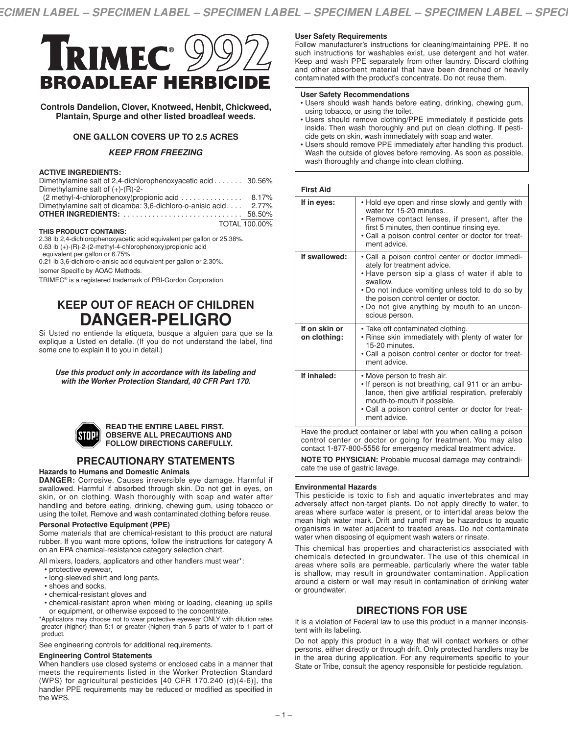TOTAL 100.00%



**Controls Dandelion, Clover, Knotweed, Henbit, Chickweed, Plantain, Spurge and other listed broadleaf weeds.**

# **ONE GALLON COVERS UP TO 2.5 ACRES**

# *KEEP FROM FREEZING*

### **ACTIVE INGREDIENTS:**

| Dimethylamine salt of 2,4-dichlorophenoxyacetic acid 30.56% |          |
|-------------------------------------------------------------|----------|
| Dimethylamine salt of $(+)$ - $(R)$ -2-                     |          |
| (2 methyl-4-chlorophenoxy) propionic acid                   | 8.17%    |
| Dimethylamine salt of dicamba: 3,6-dichloro-o-anisic acid   | $2.77\%$ |
|                                                             |          |

#### **THIS PRODUCT CONTAINS:**

2.38 lb 2,4-dichlorophenoxyacetic acid equivalent per gallon or 25.38%.

0.63 lb (+)-(R)-2-(2-methyl-4-chlorophenoxy)propionic acid

equivalent per gallon or 6.75%

0.21 lb 3,6-dichloro-o-anisic acid equivalent per gallon or 2.30%.

Isomer Specific by AOAC Methods.

TRIMEC® is a registered trademark of PBI-Gordon Corporation.

# **KEEP OUT OF REACH OF CHILDREN DANGER-PELIGRO**

Si Usted no entiende la etiqueta, busque a alguien para que se la explique a Usted en detalle. (If you do not understand the label, find some one to explain it to you in detail.)

*Use this product only in accordance with its labeling and with the Worker Protection Standard, 40 CFR Part 170.*



#### **READ THE ENTIRE LABEL FIRST. OBSERVE ALL PRECAUTIONS AND FOLLOW DIRECTIONS CAREFULLY.**

# **PRECAUTIONARY STATEMENTS**

### **Hazards to Humans and Domestic Animals**

**DANGER:** Corrosive. Causes irreversible eye damage. Harmful if swallowed. Harmful if absorbed through skin. Do not get in eyes, on skin, or on clothing. Wash thoroughly with soap and water after handling and before eating, drinking, chewing gum, using tobacco or using the toilet. Remove and wash contaminated clothing before reuse.

### **Personal Protective Equipment (PPE)**

Some materials that are chemical-resistant to this product are natural rubber. If you want more options, follow the instructions for category A on an EPA chemical-resistance category selection chart.

All mixers, loaders, applicators and other handlers must wear\*:

- protective eyewear,
- long-sleeved shirt and long pants,
- shoes and socks,
- chemical-resistant gloves and
- chemical-resistant apron when mixing or loading, cleaning up spills or equipment, or otherwise exposed to the concentrate.

\*Applicators may choose not to wear protective eyewear ONLY with dilution rates greater (higher) than 5:1 or greater (higher) than 5 parts of water to 1 part of product.

See engineering controls for additional requirements.

### **Engineering Control Statements**

When handlers use closed systems or enclosed cabs in a manner that meets the requirements listed in the Worker Protection Standard (WPS) for agricultural pesticides [40 CFR 170.240 (d)(4-6)], the handler PPE requirements may be reduced or modified as specified in the WPS.

### **User Safety Requirements**

Follow manufacturer's instructions for cleaning/maintaining PPE. If no such instructions for washables exist, use detergent and hot water. Keep and wash PPE separately from other laundry. Discard clothing and other absorbent material that have been drenched or heavily contaminated with the product's concentrate. Do not reuse them.

#### **User Safety Recommendations**

- Users should wash hands before eating, drinking, chewing gum, using tobacco, or using the toilet.
- Users should remove clothing/PPE immediately if pesticide gets inside. Then wash thoroughly and put on clean clothing. If pesticide gets on skin, wash immediately with soap and water.
- Users should remove PPE immediately after handling this product. Wash the outside of gloves before removing. As soon as possible, wash thoroughly and change into clean clothing.

| <b>First Aid</b>                                                   |                                                                                                                                                                                                                                                                                                            |  |
|--------------------------------------------------------------------|------------------------------------------------------------------------------------------------------------------------------------------------------------------------------------------------------------------------------------------------------------------------------------------------------------|--|
| If in eyes:                                                        | . Hold eye open and rinse slowly and gently with<br>water for 15-20 minutes.<br>• Remove contact lenses, if present, after the<br>first 5 minutes, then continue rinsing eye.<br>• Call a poison control center or doctor for treat-<br>ment advice.                                                       |  |
| If swallowed:                                                      | • Call a poison control center or doctor immedi-<br>ately for treatment advice.<br>• Have person sip a glass of water if able to<br>swallow.<br>• Do not induce vomiting unless told to do so by<br>the poison control center or doctor.<br>. Do not give anything by mouth to an uncon-<br>scious person. |  |
| If on skin or<br>on clothing:                                      | • Take off contaminated clothing.<br>• Rinse skin immediately with plenty of water for<br>15-20 minutes.<br>• Call a poison control center or doctor for treat-<br>ment advice.                                                                                                                            |  |
| If inhaled:                                                        | • Move person to fresh air.<br>. If person is not breathing, call 911 or an ambu-<br>lance, then give artificial respiration, preferably<br>mouth-to-mouth if possible.<br>• Call a poison control center or doctor for treat-<br>ment advice.                                                             |  |
| Have the product container or label with you when calling a poison |                                                                                                                                                                                                                                                                                                            |  |

control center or doctor or going for treatment. You may also contact 1-877-800-5556 for emergency medical treatment advice.

**NOTE TO PHYSICIAN:** Probable mucosal damage may contraindicate the use of gastric lavage.

# **Environmental Hazards**

This pesticide is toxic to fish and aquatic invertebrates and may adversely affect non-target plants. Do not apply directly to water, to areas where surface water is present, or to intertidal areas below the mean high water mark. Drift and runoff may be hazardous to aquatic organisms in water adjacent to treated areas. Do not contaminate water when disposing of equipment wash waters or rinsate.

This chemical has properties and characteristics associated with chemicals detected in groundwater. The use of this chemical in areas where soils are permeable, particularly where the water table is shallow, may result in groundwater contamination. Application around a cistern or well may result in contamination of drinking water or groundwater.

# **DIRECTIONS FOR USE**

It is a violation of Federal law to use this product in a manner inconsistent with its labeling.

Do not apply this product in a way that will contact workers or other persons, either directly or through drift. Only protected handlers may be in the area during application. For any requirements specific to your State or Tribe, consult the agency responsible for pesticide regulation.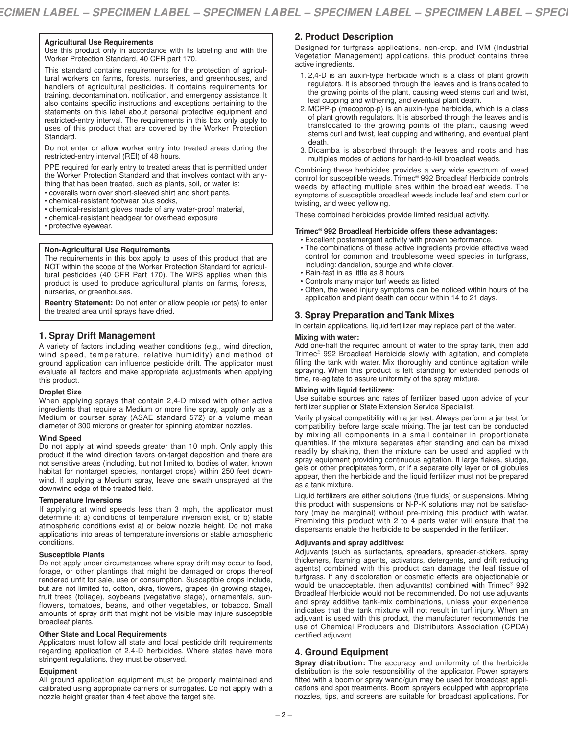### **Agricultural Use Requirements**

Use this product only in accordance with its labeling and with the Worker Protection Standard, 40 CFR part 170.

This standard contains requirements for the protection of agricultural workers on farms, forests, nurseries, and greenhouses, and handlers of agricultural pesticides. It contains requirements for training, decontamination, notification, and emergency assistance. It also contains specific instructions and exceptions pertaining to the statements on this label about personal protective equipment and restricted-entry interval. The requirements in this box only apply to uses of this product that are covered by the Worker Protection Standard.

Do not enter or allow worker entry into treated areas during the restricted-entry interval (REI) of 48 hours.

PPE required for early entry to treated areas that is permitted under the Worker Protection Standard and that involves contact with anything that has been treated, such as plants, soil, or water is:

- coveralls worn over short-sleeved shirt and short pants,
- chemical-resistant footwear plus socks,
- chemical-resistant gloves made of any water-proof material,
- chemical-resistant headgear for overhead exposure
- protective eyewear.

### **Non-Agricultural Use Requirements**

The requirements in this box apply to uses of this product that are NOT within the scope of the Worker Protection Standard for agricultural pesticides (40 CFR Part 170). The WPS applies when this product is used to produce agricultural plants on farms, forests, nurseries, or greenhouses.

**Reentry Statement:** Do not enter or allow people (or pets) to enter the treated area until sprays have dried.

# **1. Spray Drift Management**

A variety of factors including weather conditions (e.g., wind direction, wind speed, temperature, relative humidity) and method of ground application can influence pesticide drift. The applicator must evaluate all factors and make appropriate adjustments when applying this product.

# **Droplet Size**

When applying sprays that contain 2,4-D mixed with other active ingredients that require a Medium or more fine spray, apply only as a Medium or courser spray (ASAE standard 572) or a volume mean diameter of 300 microns or greater for spinning atomizer nozzles.

### **Wind Speed**

Do not apply at wind speeds greater than 10 mph. Only apply this product if the wind direction favors on-target deposition and there are not sensitive areas (including, but not limited to, bodies of water, known habitat for nontarget species, nontarget crops) within 250 feet downwind. If applying a Medium spray, leave one swath unsprayed at the downwind edge of the treated field.

### **Temperature Inversions**

If applying at wind speeds less than 3 mph, the applicator must determine if: a) conditions of temperature inversion exist, or b) stable atmospheric conditions exist at or below nozzle height. Do not make applications into areas of temperature inversions or stable atmospheric conditions.

### **Susceptible Plants**

Do not apply under circumstances where spray drift may occur to food, forage, or other plantings that might be damaged or crops thereof rendered unfit for sale, use or consumption. Susceptible crops include, but are not limited to, cotton, okra, flowers, grapes (in growing stage), fruit trees (foliage), soybeans (vegetative stage), ornamentals, sunflowers, tomatoes, beans, and other vegetables, or tobacco. Small amounts of spray drift that might not be visible may injure susceptible broadleaf plants.

# **Other State and Local Requirements**

Applicators must follow all state and local pesticide drift requirements regarding application of 2,4-D herbicides. Where states have more stringent regulations, they must be observed.

# **Equipment**

All ground application equipment must be properly maintained and calibrated using appropriate carriers or surrogates. Do not apply with a nozzle height greater than 4 feet above the target site.

# **2. Product Description**

Designed for turfgrass applications, non-crop, and IVM (Industrial Vegetation Management) applications, this product contains three active ingredients.

- 1. 2,4-D is an auxin-type herbicide which is a class of plant growth regulators. It is absorbed through the leaves and is translocated to the growing points of the plant, causing weed stems curl and twist, leaf cupping and withering, and eventual plant death.
- 2. MCPP-p (mecoprop-p) is an auxin-type herbicide, which is a class of plant growth regulators. It is absorbed through the leaves and is translocated to the growing points of the plant, causing weed stems curl and twist, leaf cupping and withering, and eventual plant death.
- 3. Dicamba is absorbed through the leaves and roots and has multiples modes of actions for hard-to-kill broadleaf weeds.

Combining these herbicides provides a very wide spectrum of weed control for susceptible weeds. Trimec® 992 Broadleaf Herbicide controls weeds by affecting multiple sites within the broadleaf weeds. The symptoms of susceptible broadleaf weeds include leaf and stem curl or twisting, and weed yellowing.

These combined herbicides provide limited residual activity.

# **Trimec® 992 Broadleaf Herbicide offers these advantages:**

- Excellent postemergent activity with proven performance. • The combinations of these active ingredients provide effective weed control for common and troublesome weed species in turfgrass, including: dandelion, spurge and white clover.
- Rain-fast in as little as 8 hours
- Controls many major turf weeds as listed
- Often, the weed injury symptoms can be noticed within hours of the application and plant death can occur within 14 to 21 days.

# **3. Spray Preparation and Tank Mixes**

In certain applications, liquid fertilizer may replace part of the water.

### **Mixing with water:**

Add one-half the required amount of water to the spray tank, then add Trimec® 992 Broadleaf Herbicide slowly with agitation, and complete filling the tank with water. Mix thoroughly and continue agitation while spraying. When this product is left standing for extended periods of time, re-agitate to assure uniformity of the spray mixture.

### **Mixing with liquid fertilizers:**

Use suitable sources and rates of fertilizer based upon advice of your fertilizer supplier or State Extension Service Specialist.

Verify physical compatibility with a jar test: Always perform a jar test for compatibility before large scale mixing. The jar test can be conducted by mixing all components in a small container in proportionate quantities. If the mixture separates after standing and can be mixed readily by shaking, then the mixture can be used and applied with spray equipment providing continuous agitation. If large flakes, sludge, gels or other precipitates form, or if a separate oily layer or oil globules appear, then the herbicide and the liquid fertilizer must not be prepared as a tank mixture.

Liquid fertilizers are either solutions (true fluids) or suspensions. Mixing this product with suspensions or N-P-K solutions may not be satisfactory (may be marginal) without pre-mixing this product with water. Premixing this product with 2 to 4 parts water will ensure that the dispersants enable the herbicide to be suspended in the fertilizer.

# **Adjuvants and spray additives:**

Adjuvants (such as surfactants, spreaders, spreader-stickers, spray thickeners, foaming agents, activators, detergents, and drift reducing agents) combined with this product can damage the leaf tissue of turfgrass. If any discoloration or cosmetic effects are objectionable or would be unacceptable, then adjuvant(s) combined with Trimec® 992 Broadleaf Herbicide would not be recommended. Do not use adjuvants and spray additive tank-mix combinations, unless your experience indicates that the tank mixture will not result in turf injury. When an adjuvant is used with this product, the manufacturer recommends the use of Chemical Producers and Distributors Association (CPDA) certified adjuvant.

# **4. Ground Equipment**

**Spray distribution:** The accuracy and uniformity of the herbicide distribution is the sole responsibility of the applicator. Power sprayers fitted with a boom or spray wand/gun may be used for broadcast applications and spot treatments. Boom sprayers equipped with appropriate nozzles, tips, and screens are suitable for broadcast applications. For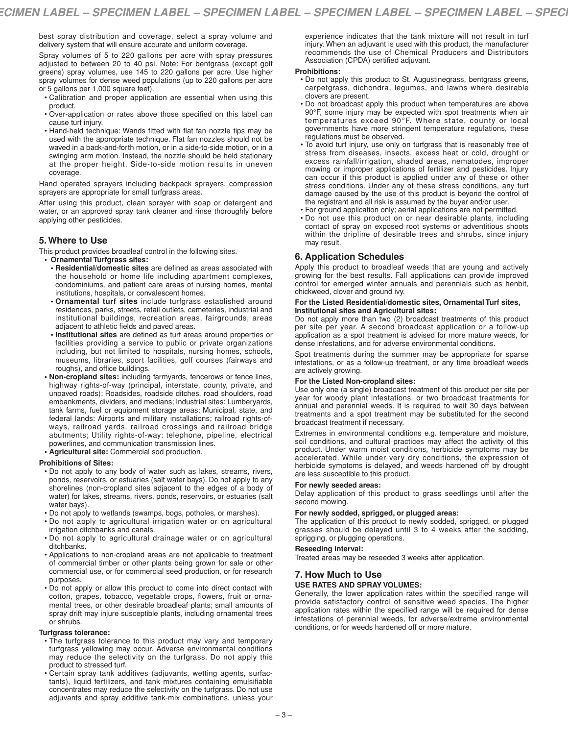best spray distribution and coverage, select a spray volume and delivery system that will ensure accurate and uniform coverage.

Spray volumes of 5 to 220 gallons per acre with spray pressures adjusted to between 20 to 40 psi. Note: For bentgrass (except golf greens) spray volumes, use 145 to 220 gallons per acre. Use higher spray volumes for dense weed populations (up to 220 gallons per acre or 5 gallons per 1,000 square feet).

- Calibration and proper application are essential when using this product.
- Over-application or rates above those specified on this label can cause turf injury.
- Hand-held technique: Wands fitted with flat fan nozzle tips may be used with the appropriate technique. Flat fan nozzles should not be waved in a back-and-forth motion, or in a side-to-side motion, or in a swinging arm motion. Instead, the nozzle should be held stationary at the proper height. Side-to-side motion results in uneven coverage.

Hand operated sprayers including backpack sprayers, compression sprayers are appropriate for small turfgrass areas.

After using this product, clean sprayer with soap or detergent and water, or an approved spray tank cleaner and rinse thoroughly before applying other pesticides.

# **5. Where to Use**

This product provides broadleaf control in the following sites.

- **• Ornamental Turfgrass sites:**
- **• Residential/domestic sites** are defined as areas associated with the household or home life including apartment complexes, condominiums, and patient care areas of nursing homes, mental institutions, hospitals, or convalescent homes.
- **• Ornamental turf sites** include turfgrass established around residences, parks, streets, retail outlets, cemeteries, industrial and institutional buildings, recreation areas, fairgrounds, areas adjacent to athletic fields and paved areas.
- **• Institutional sites** are defined as turf areas around properties or facilities providing a service to public or private organizations including, but not limited to hospitals, nursing homes, schools, museums, libraries, sport facilities, golf courses (fairways and roughs), and office buildings.
- **• Non-cropland sites:** including farmyards, fencerows or fence lines, highway rights-of-way (principal, interstate, county, private, and unpaved roads): Roadsides, roadside ditches, road shoulders, road embankments, dividers, and medians; Industrial sites: Lumberyards, tank farms, fuel or equipment storage areas; Municipal, state, and federal lands: Airports and military installations; railroad rights-ofways, railroad yards, railroad crossings and railroad bridge abutments; Utility rights-of-way: telephone, pipeline, electrical powerlines, and communication transmission lines.
- **• Agricultural site:** Commercial sod production.

### **Prohibitions of Sites:**

- Do not apply to any body of water such as lakes, streams, rivers, ponds, reservoirs, or estuaries (salt water bays). Do not apply to any shorelines (non-cropland sites adjacent to the edges of a body of water) for lakes, streams, rivers, ponds, reservoirs, or estuaries (salt water bays).
- Do not apply to wetlands (swamps, bogs, potholes, or marshes).
- Do not apply to agricultural irrigation water or on agricultural irrigation ditchbanks and canals.
- Do not apply to agricultural drainage water or on agricultural ditchbanks.
- Applications to non-cropland areas are not applicable to treatment of commercial timber or other plants being grown for sale or other commercial use, or for commercial seed production, or for research purposes.
- Do not apply or allow this product to come into direct contact with cotton, grapes, tobacco, vegetable crops, flowers, fruit or ornamental trees, or other desirable broadleaf plants; small amounts of spray drift may injure susceptible plants, including ornamental trees or shrubs.

# **Turfgrass tolerance:**

- The turfgrass tolerance to this product may vary and temporary turfgrass yellowing may occur. Adverse environmental conditions may reduce the selectivity on the turfgrass. Do not apply this product to stressed turf.
- Certain spray tank additives (adjuvants, wetting agents, surfactants), liquid fertilizers, and tank mixtures containing emulsifiable concentrates may reduce the selectivity on the turfgrass. Do not use adjuvants and spray additive tank-mix combinations, unless your

experience indicates that the tank mixture will not result in turf injury. When an adjuvant is used with this product, the manufacturer recommends the use of Chemical Producers and Distributors Association (CPDA) certified adjuvant.

### **Prohibitions:**

- Do not apply this product to St. Augustinegrass, bentgrass greens, carpetgrass, dichondra, legumes, and lawns where desirable clovers are present.
- Do not broadcast apply this product when temperatures are above 90°F, some injury may be expected with spot treatments when air temperatures exceed 90°F. Where state, county or local governments have more stringent temperature regulations, these regulations must be observed.
- To avoid turf injury, use only on turfgrass that is reasonably free of stress from diseases, insects, excess heat or cold, drought or excess rainfall/irrigation, shaded areas, nematodes, improper mowing or improper applications of fertilizer and pesticides. Injury can occur if this product is applied under any of these or other stress conditions. Under any of these stress conditions, any turf damage caused by the use of this product is beyond the control of the registrant and all risk is assumed by the buyer and/or user.
- For ground application only; aerial applications are not permitted.
- Do not use this product on or near desirable plants, including contact of spray on exposed root systems or adventitious shoots within the dripline of desirable trees and shrubs, since injury may result.

# **6. Application Schedules**

Apply this product to broadleaf weeds that are young and actively growing for the best results. Fall applications can provide improved control for emerged winter annuals and perennials such as henbit, chickweed, clover and ground ivy.

### **For the Listed Residential/domestic sites, Ornamental Turf sites, Institutional sites and Agricultural sites:**

Do not apply more than two (2) broadcast treatments of this product per site per year. A second broadcast application or a follow-up application as a spot treatment is advised for more mature weeds, for dense infestations, and for adverse environmental conditions.

Spot treatments during the summer may be appropriate for sparse infestations, or as a follow-up treatment, or any time broadleaf weeds are actively growing.

### **For the Listed Non-cropland sites:**

Use only one (a single) broadcast treatment of this product per site per year for woody plant infestations, or two broadcast treatments for annual and perennial weeds. It is required to wait 30 days between treatments and a spot treatment may be substituted for the second broadcast treatment if necessary.

Extremes in environmental conditions e.g. temperature and moisture, soil conditions, and cultural practices may affect the activity of this product. Under warm moist conditions, herbicide symptoms may be accelerated. While under very dry conditions, the expression of herbicide symptoms is delayed, and weeds hardened off by drought are less susceptible to this product.

### **For newly seeded areas:**

Delay application of this product to grass seedlings until after the second mowing.

### **For newly sodded, sprigged, or plugged areas:**

The application of this product to newly sodded, sprigged, or plugged grasses should be delayed until 3 to 4 weeks after the sodding, sprigging, or plugging operations.

### **Reseeding interval:**

Treated areas may be reseeded 3 weeks after application.

# **7. How Much to Use**

# **USE RATES AND SPRAY VOLUMES:**

Generally, the lower application rates within the specified range will provide satisfactory control of sensitive weed species. The higher application rates within the specified range will be required for dense infestations of perennial weeds, for adverse/extreme environmental conditions, or for weeds hardened off or more mature.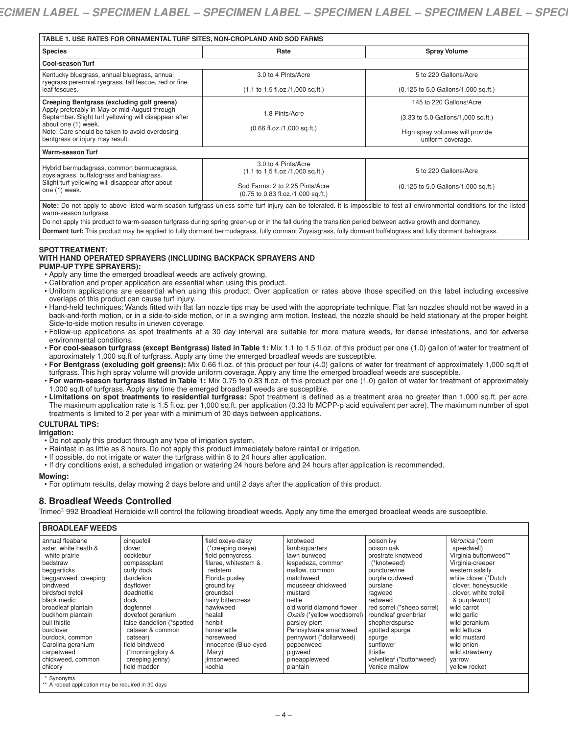| TABLE 1. USE RATES FOR ORNAMENTAL TURF SITES, NON-CROPLAND AND SOD FARMS                                                                                                                                                                                         |                                                                                                                                                                                        |                                                                                                                                                                        |  |
|------------------------------------------------------------------------------------------------------------------------------------------------------------------------------------------------------------------------------------------------------------------|----------------------------------------------------------------------------------------------------------------------------------------------------------------------------------------|------------------------------------------------------------------------------------------------------------------------------------------------------------------------|--|
| <b>Species</b>                                                                                                                                                                                                                                                   | Rate                                                                                                                                                                                   | <b>Spray Volume</b>                                                                                                                                                    |  |
| <b>Cool-season Turf</b>                                                                                                                                                                                                                                          |                                                                                                                                                                                        |                                                                                                                                                                        |  |
| Kentucky bluegrass, annual bluegrass, annual<br>ryegrass perennial ryegrass, tall fescue, red or fine<br>leaf fescues.                                                                                                                                           | 3.0 to 4 Pints/Acre<br>$(1.1 \text{ to } 1.5 \text{ fl.oz.}/1,000 \text{ sq.ft.})$                                                                                                     | 5 to 220 Gallons/Acre<br>(0.125 to 5.0 Gallons/1,000 sq.ft.)                                                                                                           |  |
| Creeping Bentgrass (excluding golf greens)<br>Apply preferably in May or mid-August through<br>September. Slight turf yellowing will disappear after<br>about one (1) week.<br>Note: Care should be taken to avoid overdosing<br>bentgrass or injury may result. | .8 Pints/Acre<br>$(0.66$ fl.oz./1,000 sq.ft.)                                                                                                                                          | 145 to 220 Gallons/Acre<br>(3.33 to 5.0 Gallons/1,000 sq.ft.)<br>High spray volumes will provide<br>uniform coverage.                                                  |  |
| Warm-season Turf                                                                                                                                                                                                                                                 |                                                                                                                                                                                        |                                                                                                                                                                        |  |
| Hybrid bermudagrass, common bermudagrass,<br>zoysiagrass, buffalograss and bahiagrass.<br>Slight turf yellowing will disappear after about<br>one (1) week.                                                                                                      | 3.0 to 4 Pints/Acre<br>$(1.1 \text{ to } 1.5 \text{ fl.oz.}/1,000 \text{ sq.ft.})$<br>Sod Farms: 2 to 2.25 Pints/Acre<br>$(0.75 \text{ to } 0.83 \text{ fl.oz.}/1,000 \text{ sq.ft.})$ | 5 to 220 Gallons/Acre<br>(0.125 to 5.0 Gallons/1,000 sq.ft.)                                                                                                           |  |
|                                                                                                                                                                                                                                                                  |                                                                                                                                                                                        | Nata: De net onnlu to obous listed were associated whereas unless some turkinium son be tolerated. It is impossible to test all emiresmental sonditions for the listed |  |

**Note:** Do not apply to above listed warm-season turfgrass unless some turf injury can be tolerated. It is impossible to test all environmental conditions for the listed warm-season turfgrass.

Do not apply this product to warm-season turfgrass during spring green-up or in the fall during the transition period between active growth and dormancy.

Dormant turf: This product may be applied to fully dormant bermudagrass, fully dormant Zoysiagrass, fully dormant buffalograss and fully dormant bahiagrass.

# **SPOT TREATMENT:**

# **WITH HAND OPERATED SPRAYERS (INCLUDING BACKPACK SPRAYERS AND**

- **PUMP-UP TYPE SPRAYERS):** • Apply any time the emerged broadleaf weeds are actively growing.
- Calibration and proper application are essential when using this product.
- Uniform applications are essential when using this product. Over application or rates above those specified on this label including excessive overlaps of this product can cause turf injury.
- Hand-held techniques: Wands fitted with flat fan nozzle tips may be used with the appropriate technique. Flat fan nozzles should not be waved in a back-and-forth motion, or in a side-to-side motion, or in a swinging arm motion. Instead, the nozzle should be held stationary at the proper height. Side-to-side motion results in uneven coverage.
- Follow-up applications as spot treatments at a 30 day interval are suitable for more mature weeds, for dense infestations, and for adverse environmental conditions.
- **For cool-season turfgrass (except Bentgrass) listed in Table 1:** Mix 1.1 to 1.5 fl.oz. of this product per one (1.0) gallon of water for treatment of approximately 1,000 sq.ft of turfgrass. Apply any time the emerged broadleaf weeds are susceptible.
- **For Bentgrass (excluding golf greens):** Mix 0.66 fl.oz. of this product per four (4.0) gallons of water for treatment of approximately 1,000 sq.ft of turfgrass. This high spray volume will provide uniform coverage. Apply any time the emerged broadleaf weeds are susceptible.
- **For warm-season turfgrass listed in Table 1:** Mix 0.75 to 0.83 fl.oz. of this product per one (1.0) gallon of water for treatment of approximately 1,000 sq.ft of turfgrass. Apply any time the emerged broadleaf weeds are susceptible.
- **Limitations on spot treatments to residential turfgrass:** Spot treatment is defined as a treatment area no greater than 1,000 sq.ft. per acre. The maximum application rate is 1.5 fl.oz. per 1,000 sq.ft. per application (0.33 lb MCPP-p acid equivalent per acre). The maximum number of spot treatments is limited to 2 per year with a minimum of 30 days between applications.

# **CULTURAL TIPS:**

# **Irrigation:**

- Do not apply this product through any type of irrigation system.
- Rainfast in as little as 8 hours. Do not apply this product immediately before rainfall or irrigation.
- If possible, do not irrigate or water the turfgrass within 8 to 24 hours after application.
- If dry conditions exist, a scheduled irrigation or watering 24 hours before and 24 hours after application is recommended.

### **Mowing:**

• For optimum results, delay mowing 2 days before and until 2 days after the application of this product.

# **8. Broadleaf Weeds Controlled**

Trimec® 992 Broadleaf Herbicide will control the following broadleaf weeds. Apply any time the emerged broadleaf weeds are susceptible.

# **BROADLEAF WEEDS**

| annual fleabane      | cinquefoil                | field oxeve-daisy    | knotweed                    | poison ivy                 | Veronica (*corn       |
|----------------------|---------------------------|----------------------|-----------------------------|----------------------------|-----------------------|
| aster, white heath & | clover                    | *creeping oxeye)     | lambsquarters               | poison oak                 | speedwell)            |
| white prairie        | cocklebur                 | field pennycress     | lawn burweed                | prostrate knotweed         | Virginia buttonweed** |
| bedstraw             | compassplant              | filaree, whitestem & | lespedeza, common           | (*knotweed)                | Virginia-creeper      |
| beggarticks          | curly dock                | redstem              | mallow, common              | puncturevine               | western salsify       |
| beggarweed, creeping | dandelion                 | Florida pusley       | matchweed                   | purple cudweed             | white clover (*Dutch  |
| bindweed             | davflower                 | ground ivy           | mouseear chickweed          | purslane                   | clover, honeysuckle   |
| birdsfoot trefoil    | deadnettle                | groundsel            | mustard                     | ragweed                    | clover, white trefoil |
| black medic          | dock                      | hairy bittercress    | nettle                      | redweed                    | & purplewort)         |
| broadleaf plantain   | dogfennel                 | hawkweed             | old world diamond flower    | red sorrel (*sheep sorrel) | wild carrot           |
| buckhorn plantain    | dovefoot geranium         | healall              | Oxalis (*yellow woodsorrel) | roundleaf greenbriar       | wild garlic           |
| bull thistle         | false dandelion (*spotted | henbit               | parsley-piert               | shepherdspurse             | wild geranium         |
| burclover            | catsear & common          | horsenettle          | Pennsylvania smartweed      | spotted spurge             | wild lettuce          |
| burdock, common      | catsear)                  | horseweed            | pennywort (*dollarweed)     | spurge                     | wild mustard          |
| Carolina geranium    | field bindweed            | innocence (Blue-eyed | pepperweed                  | sunflower                  | wild onion            |
| carpetweed           | *morningglory &           | Mary)                | pigweed                     | thistle                    | wild strawberry       |
| chickweed, common    | creeping jenny)           | iimsonweed           | pineappleweed               | velvetleaf (*buttonweed)   | varrow                |
| chicory              | field madder              | kochia               | plantain                    | Venice mallow              | yellow rocket         |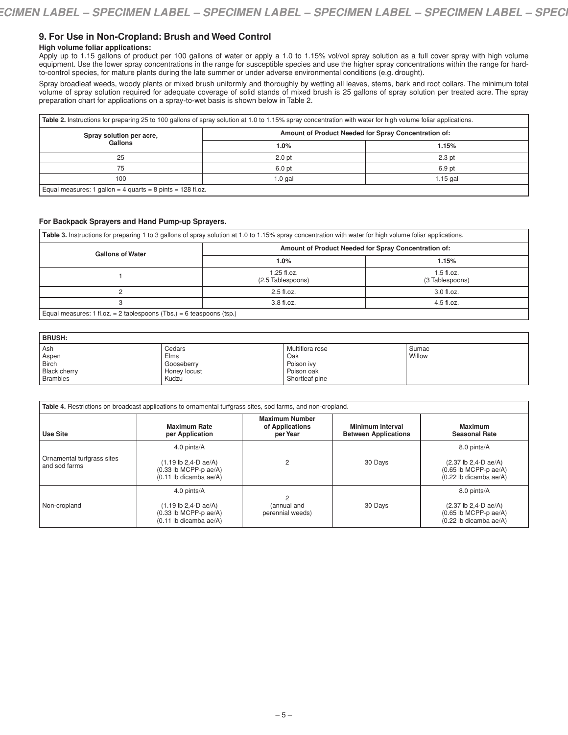# **9. For Use in Non-Cropland: Brush and Weed Control**

# **High volume foliar applications:**

Apply up to 1.15 gallons of product per 100 gallons of water or apply a 1.0 to 1.15% vol/vol spray solution as a full cover spray with high volume equipment. Use the lower spray concentrations in the range for susceptible species and use the higher spray concentrations within the range for hardto-control species, for mature plants during the late summer or under adverse environmental conditions (e.g. drought).

Spray broadleaf weeds, woody plants or mixed brush uniformly and thoroughly by wetting all leaves, stems, bark and root collars. The minimum total volume of spray solution required for adequate coverage of solid stands of mixed brush is 25 gallons of spray solution per treated acre. The spray preparation chart for applications on a spray-to-wet basis is shown below in Table 2.

| Spray solution per acre,                                     | Amount of Product Needed for Spray Concentration of: |            |  |
|--------------------------------------------------------------|------------------------------------------------------|------------|--|
| Gallons                                                      | $1.0\%$                                              | 1.15%      |  |
| 25                                                           | 2.0 pt                                               | 2.3 pt     |  |
| 75                                                           | 6.0 pt                                               | 6.9 pt     |  |
| 100                                                          | $1.0$ gal                                            | $1.15$ gal |  |
| Equal measures: 1 gallon = 4 quarts = 8 pints = $128$ fl.oz. |                                                      |            |  |

### **For Backpack Sprayers and Hand Pump-up Sprayers.**

**Table 3.** Instructions for preparing 1 to 3 gallons of spray solution at 1.0 to 1.15% spray concentration with water for high volume foliar applications.

| <b>Gallons of Water</b>                                              | Amount of Product Needed for Spray Concentration of: |                                 |  |
|----------------------------------------------------------------------|------------------------------------------------------|---------------------------------|--|
|                                                                      | $1.0\%$                                              | 1.15%                           |  |
|                                                                      | $1.25$ fl.oz.<br>(2.5 Tablespoons)                   | $1.5$ fl.oz.<br>(3 Tablespoons) |  |
|                                                                      | 2.5 fl.oz.                                           | 3.0 fl.oz.                      |  |
|                                                                      | 3.8 fl.oz.                                           | 4.5 fl.oz.                      |  |
| Equal measures: 1 fl.oz. = 2 tablespoons (Tbs.) = 6 teaspoons (tsp.) |                                                      |                                 |  |

| <b>BRUSH:</b>       |              |                 |        |  |
|---------------------|--------------|-----------------|--------|--|
| Ash                 | Cedars       | Multiflora rose | Sumac  |  |
| Aspen               | Elms         | Oak             | Willow |  |
| Birch               | Gooseberry   | . Poison ivv    |        |  |
| <b>Black cherry</b> | Honey locust | Poison oak      |        |  |
| <b>Brambles</b>     | Kudzu        | Shortleaf pine  |        |  |

| Table 4. Restrictions on broadcast applications to ornamental turfgrass sites, sod farms, and non-cropland. |                                                                                                                          |                                                      |                                                        |                                                                                                                          |
|-------------------------------------------------------------------------------------------------------------|--------------------------------------------------------------------------------------------------------------------------|------------------------------------------------------|--------------------------------------------------------|--------------------------------------------------------------------------------------------------------------------------|
| <b>Use Site</b>                                                                                             | <b>Maximum Rate</b><br>per Application                                                                                   | <b>Maximum Number</b><br>of Applications<br>per Year | <b>Minimum Interval</b><br><b>Between Applications</b> | <b>Maximum</b><br><b>Seasonal Rate</b>                                                                                   |
| Ornamental turfgrass sites<br>and sod farms                                                                 | 4.0 pints/A<br>$(1.19 \text{ lb } 2.4 \text{ - } D \text{ ae}/A)$<br>$(0.33$ lb MCPP-p ae/A)<br>$(0.11$ lb dicamba ae/A) | 2                                                    | 30 Days                                                | 8.0 pints/A<br>$(2.37 \text{ lb } 2.4 \text{ - } D \text{ ae}/A)$<br>$(0.65$ lb MCPP-p ae/A)<br>(0.22 lb dicamba ae/A)   |
| Non-cropland                                                                                                | 4.0 pints/A<br>$(1.19 \text{ lb } 2.4 \text{ - } D \text{ ae}/A)$<br>$(0.33$ lb MCPP-p ae/A)<br>$(0.11$ lb dicamba ae/A) | 2<br>(annual and<br>perennial weeds)                 | 30 Days                                                | 8.0 pints/A<br>$(2.37 \text{ lb } 2.4 \text{ - } D \text{ ae}/A)$<br>$(0.65$ lb MCPP-p ae/A)<br>$(0.22$ lb dicamba ae/A) |